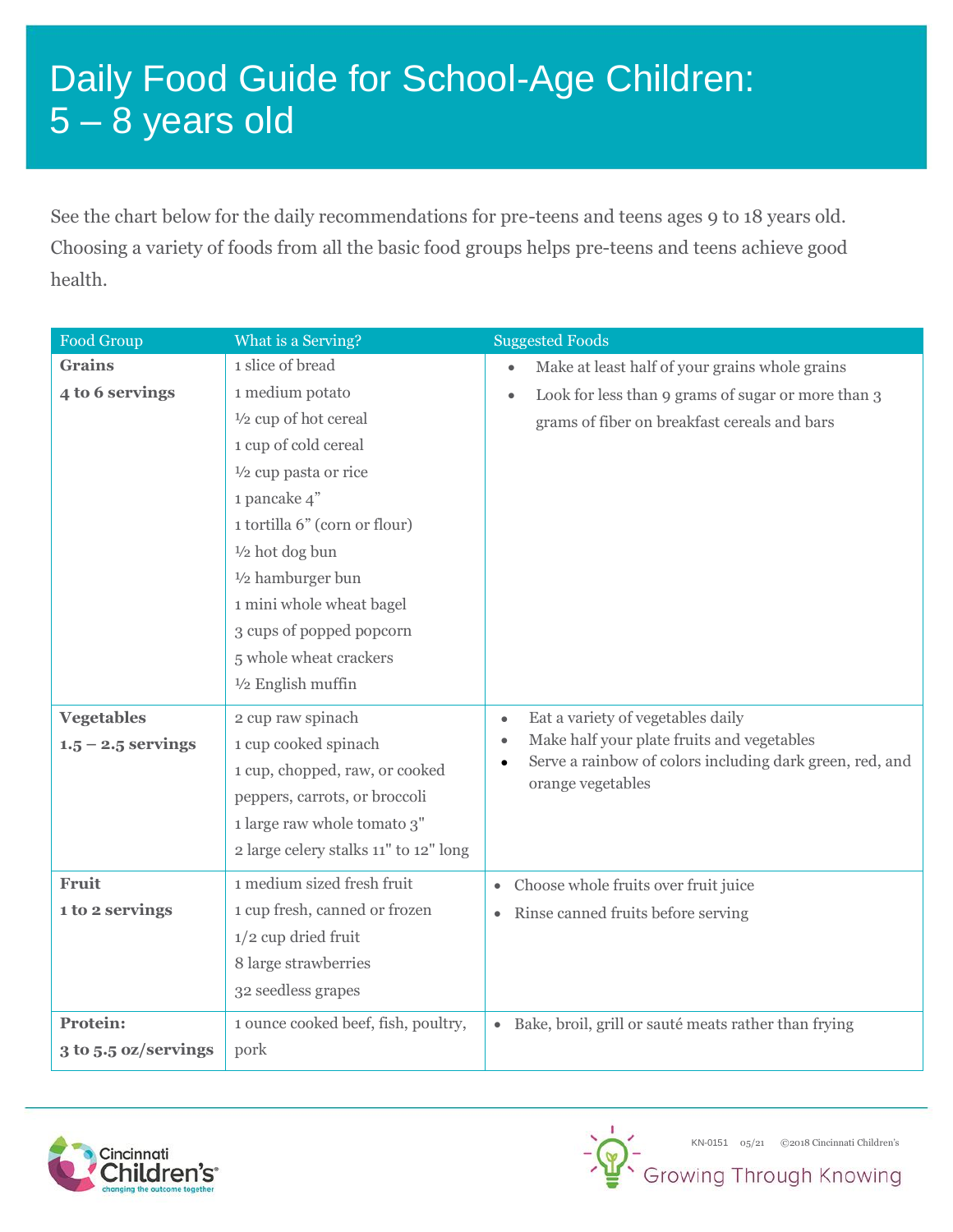## Daily Food Guide for School-Age Children: 5 – 8 years old

See the chart below for the daily recommendations for pre-teens and teens ages 9 to 18 years old. Choosing a variety of foods from all the basic food groups helps pre-teens and teens achieve good health.

| Food Group           | What is a Serving?                    | <b>Suggested Foods</b>                                            |
|----------------------|---------------------------------------|-------------------------------------------------------------------|
| <b>Grains</b>        | 1 slice of bread                      | Make at least half of your grains whole grains<br>$\bullet$       |
| 4 to 6 servings      | 1 medium potato                       | Look for less than 9 grams of sugar or more than 3<br>$\bullet$   |
|                      | $\frac{1}{2}$ cup of hot cereal       | grams of fiber on breakfast cereals and bars                      |
|                      | 1 cup of cold cereal                  |                                                                   |
|                      | $\frac{1}{2}$ cup pasta or rice       |                                                                   |
|                      | 1 pancake 4"                          |                                                                   |
|                      | 1 tortilla 6" (corn or flour)         |                                                                   |
|                      | $\frac{1}{2}$ hot dog bun             |                                                                   |
|                      | $1/2$ hamburger bun                   |                                                                   |
|                      | 1 mini whole wheat bagel              |                                                                   |
|                      | 3 cups of popped popcorn              |                                                                   |
|                      | 5 whole wheat crackers                |                                                                   |
|                      | $1/2$ English muffin                  |                                                                   |
| <b>Vegetables</b>    | 2 cup raw spinach                     | Eat a variety of vegetables daily<br>$\bullet$                    |
| $1.5 - 2.5$ servings | 1 cup cooked spinach                  | Make half your plate fruits and vegetables<br>$\bullet$           |
|                      | 1 cup, chopped, raw, or cooked        | Serve a rainbow of colors including dark green, red, and          |
|                      | peppers, carrots, or broccoli         | orange vegetables                                                 |
|                      | 1 large raw whole tomato 3"           |                                                                   |
|                      | 2 large celery stalks 11" to 12" long |                                                                   |
| Fruit                | 1 medium sized fresh fruit            | Choose whole fruits over fruit juice<br>$\bullet$                 |
| 1 to 2 servings      | 1 cup fresh, canned or frozen         | Rinse canned fruits before serving<br>$\bullet$                   |
|                      | $1/2$ cup dried fruit                 |                                                                   |
|                      | 8 large strawberries                  |                                                                   |
|                      | 32 seedless grapes                    |                                                                   |
| <b>Protein:</b>      | 1 ounce cooked beef, fish, poultry,   | Bake, broil, grill or sauté meats rather than frying<br>$\bullet$ |
| 3 to 5.5 oz/servings | pork                                  |                                                                   |